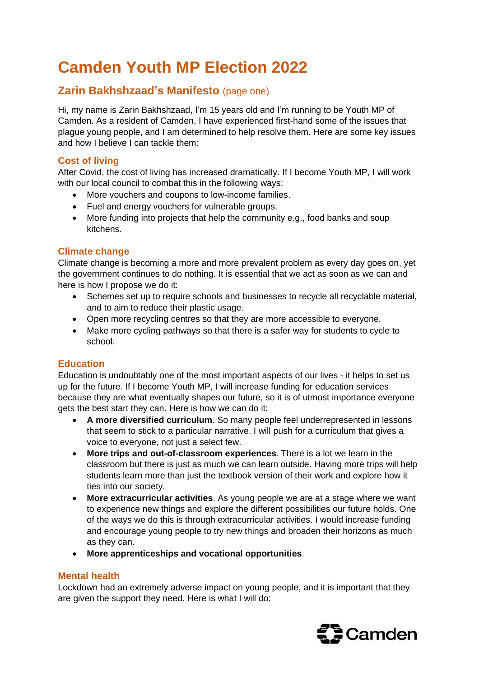# **Camden Youth MP Election 2022**

## **Zarin Bakhshzaad's Manifesto** (page one)

Hi, my name is Zarin Bakhshzaad, I'm 15 years old and I'm running to be Youth MP of Camden. As a resident of Camden, I have experienced first-hand some of the issues that plague young people, and I am determined to help resolve them. Here are some key issues and how I believe I can tackle them:

### **Cost of living**

After Covid, the cost of living has increased dramatically. If I become Youth MP, I will work with our local council to combat this in the following ways:

- More vouchers and coupons to low-income families.
- Fuel and energy vouchers for vulnerable groups.
- More funding into projects that help the community e.g., food banks and soup kitchens.

### **Climate change**

Climate change is becoming a more and more prevalent problem as every day goes on, yet the government continues to do nothing. It is essential that we act as soon as we can and here is how I propose we do it:

- Schemes set up to require schools and businesses to recycle all recyclable material, and to aim to reduce their plastic usage.
- Open more recycling centres so that they are more accessible to everyone.
- Make more cycling pathways so that there is a safer way for students to cycle to school.

### **Education**

Education is undoubtably one of the most important aspects of our lives - it helps to set us up for the future. If I become Youth MP, I will increase funding for education services because they are what eventually shapes our future, so it is of utmost importance everyone gets the best start they can. Here is how we can do it:

- **A more diversified curriculum**. So many people feel underrepresented in lessons that seem to stick to a particular narrative. I will push for a curriculum that gives a voice to everyone, not just a select few.
- **More trips and out-of-classroom experiences**. There is a lot we learn in the classroom but there is just as much we can learn outside. Having more trips will help students learn more than just the textbook version of their work and explore how it ties into our society.
- **More extracurricular activities**. As young people we are at a stage where we want to experience new things and explore the different possibilities our future holds. One of the ways we do this is through extracurricular activities. I would increase funding and encourage young people to try new things and broaden their horizons as much as they can.
- **More apprenticeships and vocational opportunities**.

### **Mental health**

Lockdown had an extremely adverse impact on young people, and it is important that they are given the support they need. Here is what I will do: